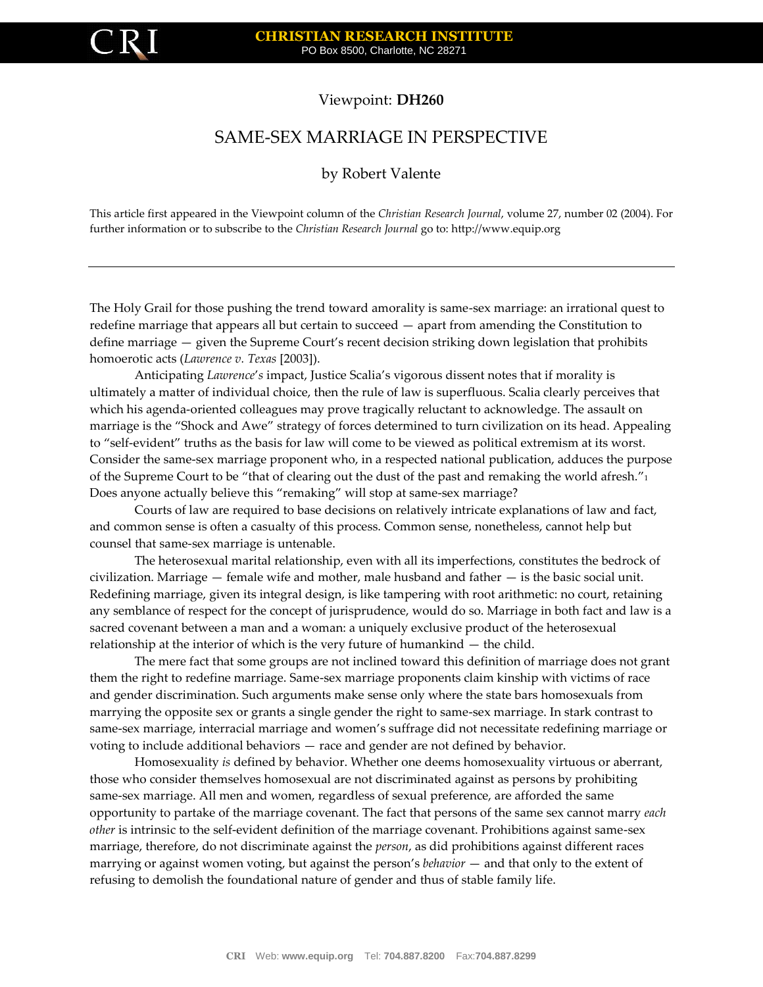

## Viewpoint: **DH260**

## SAME-SEX MARRIAGE IN PERSPECTIVE

## by Robert Valente

This article first appeared in the Viewpoint column of the *Christian Research Journal*, volume 27, number 02 (2004). For further information or to subscribe to the *Christian Research Journal* go to[: http://www.equip.org](http://www.equip.org/)

The Holy Grail for those pushing the trend toward amorality is same-sex marriage: an irrational quest to redefine marriage that appears all but certain to succeed — apart from amending the Constitution to define marriage — given the Supreme Court's recent decision striking down legislation that prohibits homoerotic acts (*Lawrence v. Texas* [2003]).

Anticipating *Lawrence*'*s* impact, Justice Scalia's vigorous dissent notes that if morality is ultimately a matter of individual choice, then the rule of law is superfluous. Scalia clearly perceives that which his agenda-oriented colleagues may prove tragically reluctant to acknowledge. The assault on marriage is the "Shock and Awe" strategy of forces determined to turn civilization on its head. Appealing to "self-evident" truths as the basis for law will come to be viewed as political extremism at its worst. Consider the same-sex marriage proponent who, in a respected national publication, adduces the purpose of the Supreme Court to be "that of clearing out the dust of the past and remaking the world afresh."<sup>1</sup> Does anyone actually believe this "remaking" will stop at same-sex marriage?

Courts of law are required to base decisions on relatively intricate explanations of law and fact, and common sense is often a casualty of this process. Common sense, nonetheless, cannot help but counsel that same-sex marriage is untenable.

The heterosexual marital relationship, even with all its imperfections, constitutes the bedrock of civilization. Marriage  $-$  female wife and mother, male husband and father  $-$  is the basic social unit. Redefining marriage, given its integral design, is like tampering with root arithmetic: no court, retaining any semblance of respect for the concept of jurisprudence, would do so. Marriage in both fact and law is a sacred covenant between a man and a woman: a uniquely exclusive product of the heterosexual relationship at the interior of which is the very future of humankind — the child.

The mere fact that some groups are not inclined toward this definition of marriage does not grant them the right to redefine marriage. Same-sex marriage proponents claim kinship with victims of race and gender discrimination. Such arguments make sense only where the state bars homosexuals from marrying the opposite sex or grants a single gender the right to same-sex marriage. In stark contrast to same-sex marriage, interracial marriage and women's suffrage did not necessitate redefining marriage or voting to include additional behaviors — race and gender are not defined by behavior.

Homosexuality *is* defined by behavior. Whether one deems homosexuality virtuous or aberrant, those who consider themselves homosexual are not discriminated against as persons by prohibiting same-sex marriage. All men and women, regardless of sexual preference, are afforded the same opportunity to partake of the marriage covenant. The fact that persons of the same sex cannot marry *each other* is intrinsic to the self-evident definition of the marriage covenant. Prohibitions against same-sex marriage, therefore, do not discriminate against the *person*, as did prohibitions against different races marrying or against women voting, but against the person's *behavior* — and that only to the extent of refusing to demolish the foundational nature of gender and thus of stable family life.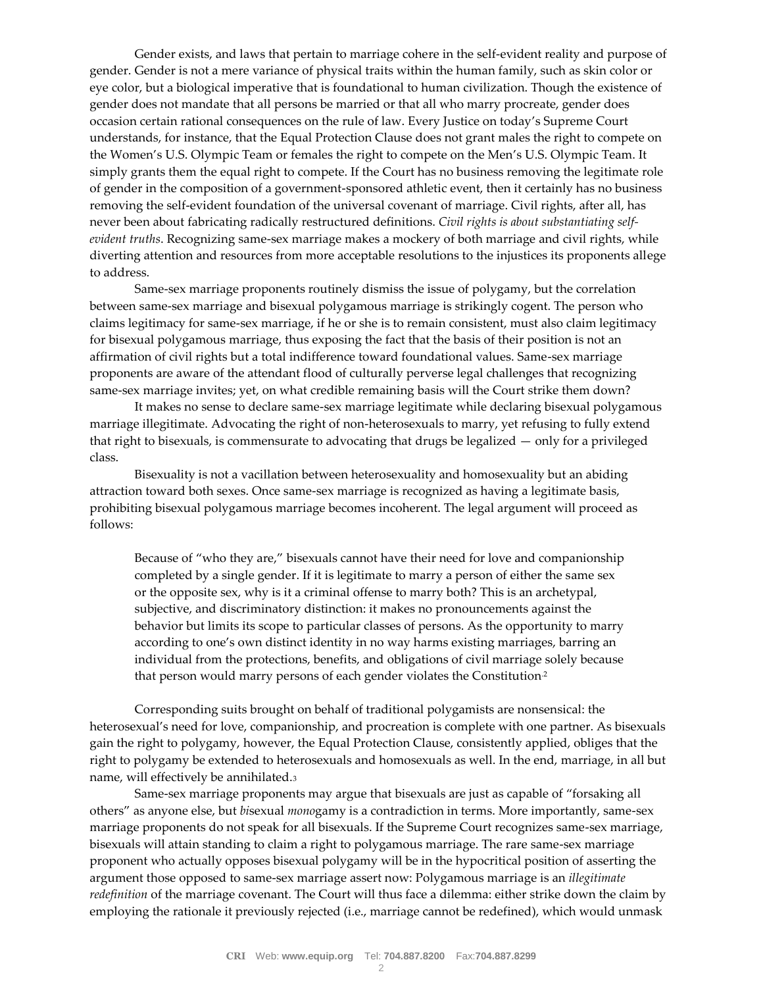Gender exists, and laws that pertain to marriage cohere in the self-evident reality and purpose of gender. Gender is not a mere variance of physical traits within the human family, such as skin color or eye color, but a biological imperative that is foundational to human civilization. Though the existence of gender does not mandate that all persons be married or that all who marry procreate, gender does occasion certain rational consequences on the rule of law. Every Justice on today's Supreme Court understands, for instance, that the Equal Protection Clause does not grant males the right to compete on the Women's U.S. Olympic Team or females the right to compete on the Men's U.S. Olympic Team. It simply grants them the equal right to compete. If the Court has no business removing the legitimate role of gender in the composition of a government-sponsored athletic event, then it certainly has no business removing the self-evident foundation of the universal covenant of marriage. Civil rights, after all, has never been about fabricating radically restructured definitions. *Civil rights is about substantiating selfevident truths*. Recognizing same-sex marriage makes a mockery of both marriage and civil rights, while diverting attention and resources from more acceptable resolutions to the injustices its proponents allege to address.

Same-sex marriage proponents routinely dismiss the issue of polygamy, but the correlation between same-sex marriage and bisexual polygamous marriage is strikingly cogent. The person who claims legitimacy for same-sex marriage, if he or she is to remain consistent, must also claim legitimacy for bisexual polygamous marriage, thus exposing the fact that the basis of their position is not an affirmation of civil rights but a total indifference toward foundational values. Same-sex marriage proponents are aware of the attendant flood of culturally perverse legal challenges that recognizing same-sex marriage invites; yet, on what credible remaining basis will the Court strike them down?

It makes no sense to declare same-sex marriage legitimate while declaring bisexual polygamous marriage illegitimate. Advocating the right of non-heterosexuals to marry, yet refusing to fully extend that right to bisexuals, is commensurate to advocating that drugs be legalized — only for a privileged class.

Bisexuality is not a vacillation between heterosexuality and homosexuality but an abiding attraction toward both sexes. Once same-sex marriage is recognized as having a legitimate basis, prohibiting bisexual polygamous marriage becomes incoherent. The legal argument will proceed as follows:

Because of "who they are," bisexuals cannot have their need for love and companionship completed by a single gender. If it is legitimate to marry a person of either the same sex or the opposite sex, why is it a criminal offense to marry both? This is an archetypal, subjective, and discriminatory distinction: it makes no pronouncements against the behavior but limits its scope to particular classes of persons. As the opportunity to marry according to one's own distinct identity in no way harms existing marriages, barring an individual from the protections, benefits, and obligations of civil marriage solely because that person would marry persons of each gender violates the Constitution<sup>2</sup>

Corresponding suits brought on behalf of traditional polygamists are nonsensical: the heterosexual's need for love, companionship, and procreation is complete with one partner. As bisexuals gain the right to polygamy, however, the Equal Protection Clause, consistently applied, obliges that the right to polygamy be extended to heterosexuals and homosexuals as well. In the end, marriage, in all but name, will effectively be annihilated.<sup>3</sup>

Same-sex marriage proponents may argue that bisexuals are just as capable of "forsaking all others" as anyone else, but *bi*sexual *mono*gamy is a contradiction in terms. More importantly, same-sex marriage proponents do not speak for all bisexuals. If the Supreme Court recognizes same-sex marriage, bisexuals will attain standing to claim a right to polygamous marriage. The rare same-sex marriage proponent who actually opposes bisexual polygamy will be in the hypocritical position of asserting the argument those opposed to same-sex marriage assert now: Polygamous marriage is an *illegitimate redefinition* of the marriage covenant. The Court will thus face a dilemma: either strike down the claim by employing the rationale it previously rejected (i.e., marriage cannot be redefined), which would unmask